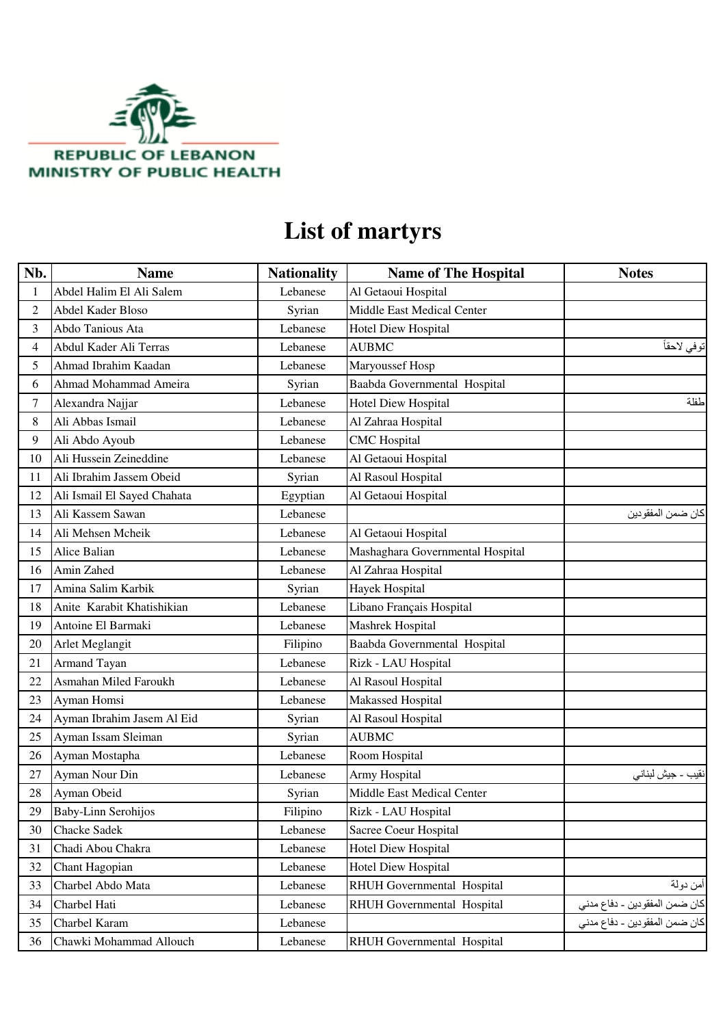

## **List of martyrs**

| Nb. | <b>Name</b>                 | <b>Nationality</b> | <b>Name of The Hospital</b>       | <b>Notes</b>                  |
|-----|-----------------------------|--------------------|-----------------------------------|-------------------------------|
| 1   | Abdel Halim El Ali Salem    | Lebanese           | Al Getaoui Hospital               |                               |
| 2   | Abdel Kader Bloso           | Syrian             | <b>Middle East Medical Center</b> |                               |
| 3   | Abdo Tanious Ata            | Lebanese           | <b>Hotel Diew Hospital</b>        |                               |
| 4   | Abdul Kader Ali Terras      | Lebanese           | <b>AUBMC</b>                      | توفي لاحقاً                   |
| 5   | Ahmad Ibrahim Kaadan        | Lebanese           | Maryoussef Hosp                   |                               |
| 6   | Ahmad Mohammad Ameira       | Syrian             | Baabda Governmental Hospital      |                               |
| 7   | Alexandra Najjar            | Lebanese           | <b>Hotel Diew Hospital</b>        | طفلة                          |
| 8   | Ali Abbas Ismail            | Lebanese           | Al Zahraa Hospital                |                               |
| 9   | Ali Abdo Ayoub              | Lebanese           | <b>CMC</b> Hospital               |                               |
| 10  | Ali Hussein Zeineddine      | Lebanese           | Al Getaoui Hospital               |                               |
| 11  | Ali Ibrahim Jassem Obeid    | Syrian             | Al Rasoul Hospital                |                               |
| 12  | Ali Ismail El Sayed Chahata | Egyptian           | Al Getaoui Hospital               |                               |
| 13  | Ali Kassem Sawan            | Lebanese           |                                   | كان ضمن المفقودين             |
| 14  | Ali Mehsen Mcheik           | Lebanese           | Al Getaoui Hospital               |                               |
| 15  | Alice Balian                | Lebanese           | Mashaghara Governmental Hospital  |                               |
| 16  | Amin Zahed                  | Lebanese           | Al Zahraa Hospital                |                               |
| 17  | Amina Salim Karbik          | Syrian             | <b>Hayek Hospital</b>             |                               |
| 18  | Anite Karabit Khatishikian  | Lebanese           | Libano Français Hospital          |                               |
| 19  | Antoine El Barmaki          | Lebanese           | Mashrek Hospital                  |                               |
| 20  | Arlet Meglangit             | Filipino           | Baabda Governmental Hospital      |                               |
| 21  | Armand Tayan                | Lebanese           | Rizk - LAU Hospital               |                               |
| 22  | Asmahan Miled Faroukh       | Lebanese           | Al Rasoul Hospital                |                               |
| 23  | Ayman Homsi                 | Lebanese           | Makassed Hospital                 |                               |
| 24  | Ayman Ibrahim Jasem Al Eid  | Syrian             | Al Rasoul Hospital                |                               |
| 25  | Ayman Issam Sleiman         | Syrian             | <b>AUBMC</b>                      |                               |
| 26  | Ayman Mostapha              | Lebanese           | Room Hospital                     |                               |
| 27  | Ayman Nour Din              | Lebanese           | Army Hospital                     | نقيب ــ جيش لبنان <i>ي</i>    |
| 28  | Ayman Obeid                 | Syrian             | Middle East Medical Center        |                               |
| 29  | Baby-Linn Serohijos         | Filipino           | Rizk - LAU Hospital               |                               |
| 30  | Chacke Sadek                | Lebanese           | Sacree Coeur Hospital             |                               |
| 31  | Chadi Abou Chakra           | Lebanese           | <b>Hotel Diew Hospital</b>        |                               |
| 32  | Chant Hagopian              | Lebanese           | <b>Hotel Diew Hospital</b>        |                               |
| 33  | Charbel Abdo Mata           | Lebanese           | RHUH Governmental Hospital        | أمن دولة                      |
| 34  | Charbel Hati                | Lebanese           | RHUH Governmental Hospital        | كان ضمن المفقودين ـ دفاع مدنى |
| 35  | Charbel Karam               | Lebanese           |                                   | كان ضمن المفقودين - دفاع مدني |
| 36  | Chawki Mohammad Allouch     | Lebanese           | RHUH Governmental Hospital        |                               |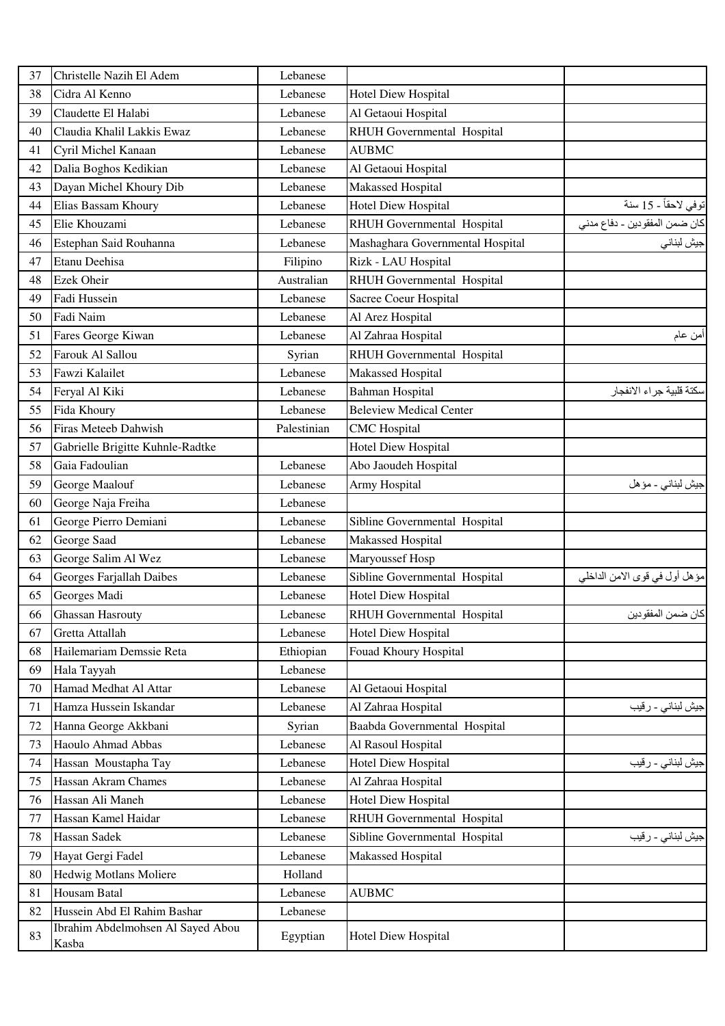| 37 | Christelle Nazih El Adem          | Lebanese    |                                  |                               |
|----|-----------------------------------|-------------|----------------------------------|-------------------------------|
| 38 | Cidra Al Kenno                    | Lebanese    | <b>Hotel Diew Hospital</b>       |                               |
| 39 | Claudette El Halabi               | Lebanese    | Al Getaoui Hospital              |                               |
| 40 | Claudia Khalil Lakkis Ewaz        | Lebanese    | RHUH Governmental Hospital       |                               |
| 41 | Cyril Michel Kanaan               | Lebanese    | <b>AUBMC</b>                     |                               |
| 42 | Dalia Boghos Kedikian             | Lebanese    | Al Getaoui Hospital              |                               |
| 43 | Dayan Michel Khoury Dib           | Lebanese    | Makassed Hospital                |                               |
| 44 | Elias Bassam Khoury               | Lebanese    | <b>Hotel Diew Hospital</b>       | توفي لاحقاً - 15 سنة          |
| 45 | Elie Khouzami                     | Lebanese    | RHUH Governmental Hospital       | كان ضمن المفقودين ـ دفاع مدني |
| 46 | Estephan Said Rouhanna            | Lebanese    | Mashaghara Governmental Hospital | جيش لبناني                    |
| 47 | Etanu Deehisa                     | Filipino    | Rizk - LAU Hospital              |                               |
| 48 | <b>Ezek Oheir</b>                 | Australian  | RHUH Governmental Hospital       |                               |
| 49 | Fadi Hussein                      | Lebanese    | Sacree Coeur Hospital            |                               |
| 50 | Fadi Naim                         | Lebanese    | Al Arez Hospital                 |                               |
| 51 | Fares George Kiwan                | Lebanese    | Al Zahraa Hospital               | أمن عام                       |
| 52 | Farouk Al Sallou                  | Syrian      | RHUH Governmental Hospital       |                               |
| 53 | Fawzi Kalailet                    | Lebanese    | Makassed Hospital                |                               |
| 54 | Feryal Al Kiki                    | Lebanese    | <b>Bahman Hospital</b>           | سكتة قلبية جراء الانفجار      |
| 55 | Fida Khoury                       | Lebanese    | <b>Beleview Medical Center</b>   |                               |
| 56 | Firas Meteeb Dahwish              | Palestinian | <b>CMC</b> Hospital              |                               |
| 57 | Gabrielle Brigitte Kuhnle-Radtke  |             | <b>Hotel Diew Hospital</b>       |                               |
| 58 | Gaia Fadoulian                    | Lebanese    | Abo Jaoudeh Hospital             |                               |
| 59 | George Maalouf                    | Lebanese    | Army Hospital                    | جيش لبناني - مؤهل             |
| 60 | George Naja Freiha                | Lebanese    |                                  |                               |
| 61 | George Pierro Demiani             | Lebanese    | Sibline Governmental Hospital    |                               |
| 62 | George Saad                       | Lebanese    | Makassed Hospital                |                               |
| 63 | George Salim Al Wez               | Lebanese    | Maryoussef Hosp                  |                               |
| 64 | Georges Farjallah Daibes          | Lebanese    | Sibline Governmental Hospital    | مؤهل أول في قوى الامن الداخلي |
| 65 | Georges Madi                      | Lebanese    | <b>Hotel Diew Hospital</b>       |                               |
| 66 | <b>Ghassan Hasrouty</b>           | Lebanese    | RHUH Governmental Hospital       | كان ضمن المفقودين             |
| 67 | Gretta Attallah                   | Lebanese    | <b>Hotel Diew Hospital</b>       |                               |
| 68 | Hailemariam Demssie Reta          | Ethiopian   | Fouad Khoury Hospital            |                               |
| 69 | Hala Tayyah                       | Lebanese    |                                  |                               |
| 70 | Hamad Medhat Al Attar             | Lebanese    | Al Getaoui Hospital              |                               |
| 71 | Hamza Hussein Iskandar            | Lebanese    | Al Zahraa Hospital               | جيش لبناني ـ رقيب             |
| 72 | Hanna George Akkbani              | Syrian      | Baabda Governmental Hospital     |                               |
| 73 | Haoulo Ahmad Abbas                | Lebanese    | Al Rasoul Hospital               |                               |
| 74 | Hassan Moustapha Tay              | Lebanese    | <b>Hotel Diew Hospital</b>       | جيش لبناني - رقيب             |
| 75 | Hassan Akram Chames               | Lebanese    | Al Zahraa Hospital               |                               |
| 76 | Hassan Ali Maneh                  | Lebanese    | <b>Hotel Diew Hospital</b>       |                               |
| 77 | Hassan Kamel Haidar               | Lebanese    | RHUH Governmental Hospital       |                               |
| 78 | Hassan Sadek                      | Lebanese    | Sibline Governmental Hospital    | جيش لبناني ـ رقيب             |
| 79 | Hayat Gergi Fadel                 | Lebanese    | Makassed Hospital                |                               |
| 80 | Hedwig Motlans Moliere            | Holland     |                                  |                               |
| 81 | Housam Batal                      | Lebanese    | <b>AUBMC</b>                     |                               |
| 82 | Hussein Abd El Rahim Bashar       | Lebanese    |                                  |                               |
| 83 | Ibrahim Abdelmohsen Al Sayed Abou | Egyptian    | <b>Hotel Diew Hospital</b>       |                               |
|    | Kasba                             |             |                                  |                               |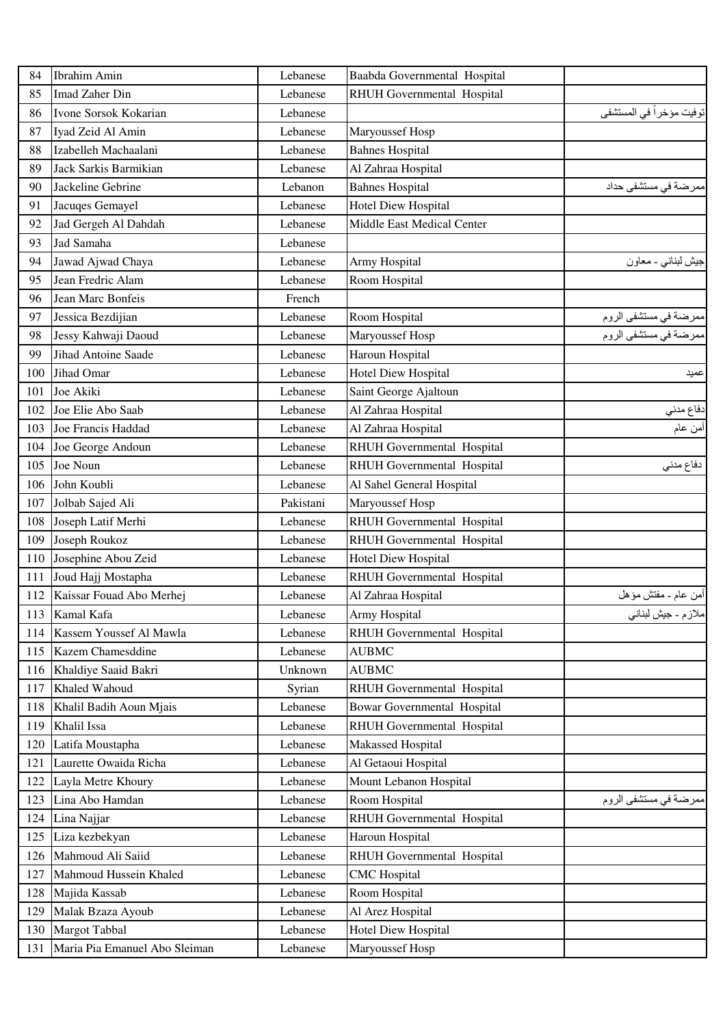| 84  | Ibrahim Amin                  | Lebanese  | Baabda Governmental Hospital       |                                                |
|-----|-------------------------------|-----------|------------------------------------|------------------------------------------------|
| 85  | Imad Zaher Din                | Lebanese  | RHUH Governmental Hospital         |                                                |
| 86  | Ivone Sorsok Kokarian         | Lebanese  |                                    | توفيت مؤخراً في المستشفى                       |
| 87  | Iyad Zeid Al Amin             | Lebanese  | Maryoussef Hosp                    |                                                |
| 88  | Izabelleh Machaalani          | Lebanese  | <b>Bahnes Hospital</b>             |                                                |
| 89  | Jack Sarkis Barmikian         | Lebanese  | Al Zahraa Hospital                 |                                                |
| 90  | Jackeline Gebrine             | Lebanon   | <b>Bahnes Hospital</b>             | ممرضة في مستشفى حداد                           |
| 91  | Jacuqes Gemayel               | Lebanese  | Hotel Diew Hospital                |                                                |
| 92  | Jad Gergeh Al Dahdah          | Lebanese  | Middle East Medical Center         |                                                |
| 93  | Jad Samaha                    | Lebanese  |                                    |                                                |
| 94  | Jawad Ajwad Chaya             | Lebanese  | Army Hospital                      | جيش لبناني - معاون                             |
| 95  | Jean Fredric Alam             | Lebanese  | Room Hospital                      |                                                |
| 96  | Jean Marc Bonfeis             | French    |                                    |                                                |
| 97  | Jessica Bezdijian             | Lebanese  | Room Hospital                      |                                                |
| 98  | Jessy Kahwaji Daoud           | Lebanese  | Maryoussef Hosp                    | ممرضة في مستشفى الروم<br>ممرضة في مستشفى الروم |
| 99  | <b>Jihad Antoine Saade</b>    | Lebanese  | Haroun Hospital                    |                                                |
| 100 | Jihad Omar                    | Lebanese  | <b>Hotel Diew Hospital</b>         | عميد                                           |
| 101 | Joe Akiki                     | Lebanese  | Saint George Ajaltoun              |                                                |
| 102 | Joe Elie Abo Saab             | Lebanese  | Al Zahraa Hospital                 | دفاع مدني                                      |
| 103 | Joe Francis Haddad            | Lebanese  | Al Zahraa Hospital                 | أمن عام                                        |
| 104 | Joe George Andoun             | Lebanese  | RHUH Governmental Hospital         |                                                |
| 105 | Joe Noun                      | Lebanese  | RHUH Governmental Hospital         | دفاع مدني                                      |
| 106 | John Koubli                   | Lebanese  | Al Sahel General Hospital          |                                                |
| 107 | Jolbab Sajed Ali              | Pakistani | Maryoussef Hosp                    |                                                |
| 108 | Joseph Latif Merhi            | Lebanese  | RHUH Governmental Hospital         |                                                |
| 109 | Joseph Roukoz                 | Lebanese  | RHUH Governmental Hospital         |                                                |
| 110 | Josephine Abou Zeid           | Lebanese  | Hotel Diew Hospital                |                                                |
| 111 | Joud Hajj Mostapha            | Lebanese  | RHUH Governmental Hospital         |                                                |
| 112 | Kaissar Fouad Abo Merhej      | Lebanese  | Al Zahraa Hospital                 | أمن عام ـ مفتش مؤهل                            |
| 113 | Kamal Kafa                    | Lebanese  | Army Hospital                      | ملازم ـ جيش لبناني                             |
| 114 | Kassem Youssef Al Mawla       | Lebanese  | RHUH Governmental Hospital         |                                                |
| 115 | Kazem Chamesddine             | Lebanese  | <b>AUBMC</b>                       |                                                |
| 116 | Khaldiye Saaid Bakri          | Unknown   | <b>AUBMC</b>                       |                                                |
| 117 | Khaled Wahoud                 | Syrian    | RHUH Governmental Hospital         |                                                |
| 118 | Khalil Badih Aoun Mjais       | Lebanese  | <b>Bowar Governmental Hospital</b> |                                                |
| 119 | Khalil Issa                   | Lebanese  | RHUH Governmental Hospital         |                                                |
| 120 | Latifa Moustapha              | Lebanese  | Makassed Hospital                  |                                                |
| 121 | Laurette Owaida Richa         | Lebanese  | Al Getaoui Hospital                |                                                |
| 122 | Layla Metre Khoury            | Lebanese  | Mount Lebanon Hospital             |                                                |
| 123 | Lina Abo Hamdan               | Lebanese  | Room Hospital                      | ممرضة في مستشفى الروم                          |
| 124 | Lina Najjar                   | Lebanese  | RHUH Governmental Hospital         |                                                |
| 125 | Liza kezbekyan                | Lebanese  | Haroun Hospital                    |                                                |
| 126 | Mahmoud Ali Saiid             | Lebanese  | RHUH Governmental Hospital         |                                                |
| 127 | Mahmoud Hussein Khaled        | Lebanese  | <b>CMC</b> Hospital                |                                                |
| 128 | Majida Kassab                 | Lebanese  | Room Hospital                      |                                                |
| 129 | Malak Bzaza Ayoub             | Lebanese  | Al Arez Hospital                   |                                                |
| 130 | <b>Margot Tabbal</b>          | Lebanese  | <b>Hotel Diew Hospital</b>         |                                                |
| 131 | Maria Pia Emanuel Abo Sleiman | Lebanese  | Maryoussef Hosp                    |                                                |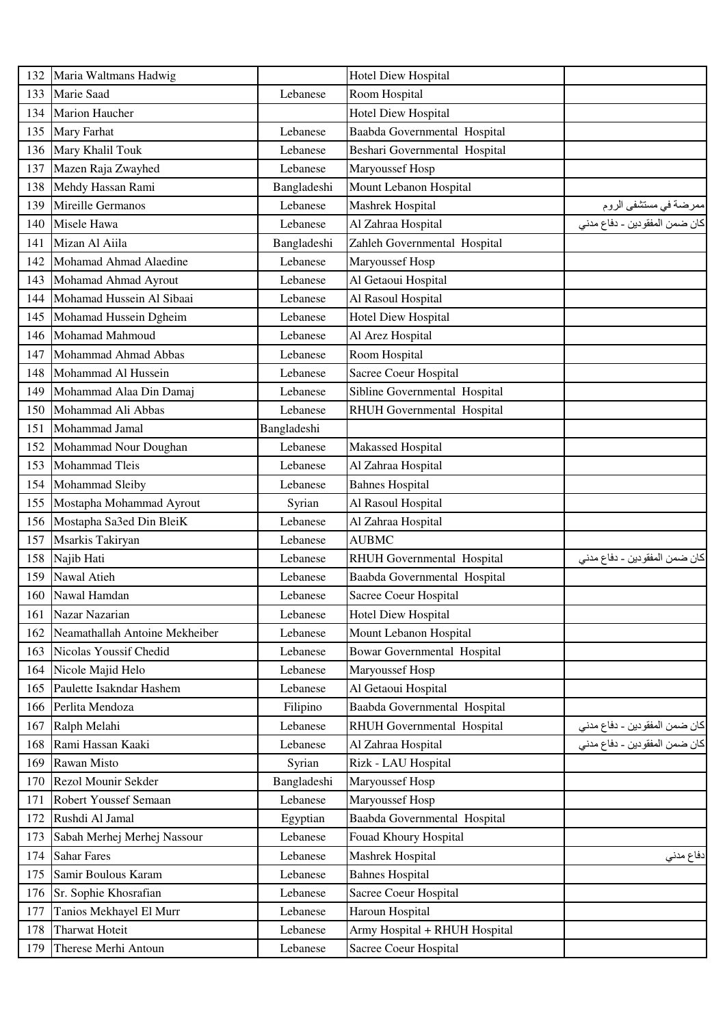| 132 | Maria Waltmans Hadwig          |             | <b>Hotel Diew Hospital</b>         |                               |
|-----|--------------------------------|-------------|------------------------------------|-------------------------------|
| 133 | Marie Saad                     | Lebanese    | Room Hospital                      |                               |
| 134 | <b>Marion Haucher</b>          |             | Hotel Diew Hospital                |                               |
| 135 | Mary Farhat                    | Lebanese    | Baabda Governmental Hospital       |                               |
| 136 | Mary Khalil Touk               | Lebanese    | Beshari Governmental Hospital      |                               |
| 137 | Mazen Raja Zwayhed             | Lebanese    | Maryoussef Hosp                    |                               |
| 138 | Mehdy Hassan Rami              | Bangladeshi | Mount Lebanon Hospital             |                               |
| 139 | Mireille Germanos              | Lebanese    | Mashrek Hospital                   | ممرضة في مستشفى الروم         |
| 140 | Misele Hawa                    | Lebanese    | Al Zahraa Hospital                 | كان ضمن المفقودين - دفاع مدني |
| 141 | Mizan Al Aiila                 | Bangladeshi | Zahleh Governmental Hospital       |                               |
| 142 | Mohamad Ahmad Alaedine         | Lebanese    | Maryoussef Hosp                    |                               |
| 143 | Mohamad Ahmad Ayrout           | Lebanese    | Al Getaoui Hospital                |                               |
| 144 | Mohamad Hussein Al Sibaai      | Lebanese    | Al Rasoul Hospital                 |                               |
| 145 | Mohamad Hussein Dgheim         | Lebanese    | <b>Hotel Diew Hospital</b>         |                               |
| 146 | Mohamad Mahmoud                | Lebanese    | Al Arez Hospital                   |                               |
| 147 | Mohammad Ahmad Abbas           | Lebanese    | Room Hospital                      |                               |
| 148 | Mohammad Al Hussein            | Lebanese    | Sacree Coeur Hospital              |                               |
| 149 | Mohammad Alaa Din Damaj        | Lebanese    | Sibline Governmental Hospital      |                               |
| 150 | Mohammad Ali Abbas             | Lebanese    | RHUH Governmental Hospital         |                               |
| 151 | Mohammad Jamal                 | Bangladeshi |                                    |                               |
| 152 | Mohammad Nour Doughan          | Lebanese    | Makassed Hospital                  |                               |
| 153 | Mohammad Tleis                 | Lebanese    | Al Zahraa Hospital                 |                               |
| 154 | Mohammad Sleiby                | Lebanese    | <b>Bahnes Hospital</b>             |                               |
| 155 | Mostapha Mohammad Ayrout       | Syrian      | Al Rasoul Hospital                 |                               |
| 156 | Mostapha Sa3ed Din BleiK       | Lebanese    | Al Zahraa Hospital                 |                               |
| 157 | Msarkis Takiryan               | Lebanese    | <b>AUBMC</b>                       |                               |
| 158 | Najib Hati                     | Lebanese    | RHUH Governmental Hospital         | كان ضمن المفقودين ـ دفاع مدني |
| 159 | Nawal Atieh                    | Lebanese    | Baabda Governmental Hospital       |                               |
| 160 | Nawal Hamdan                   | Lebanese    | Sacree Coeur Hospital              |                               |
| 161 | Nazar Nazarian                 | Lebanese    | <b>Hotel Diew Hospital</b>         |                               |
| 162 | Neamathallah Antoine Mekheiber | Lebanese    | Mount Lebanon Hospital             |                               |
| 163 | Nicolas Youssif Chedid         | Lebanese    | <b>Bowar Governmental Hospital</b> |                               |
| 164 | Nicole Majid Helo              | Lebanese    | Maryoussef Hosp                    |                               |
| 165 | Paulette Isakndar Hashem       | Lebanese    | Al Getaoui Hospital                |                               |
| 166 | Perlita Mendoza                | Filipino    | Baabda Governmental Hospital       |                               |
| 167 | Ralph Melahi                   | Lebanese    | RHUH Governmental Hospital         | كان ضمن المفقودين ـ دفاع مدني |
| 168 | Rami Hassan Kaaki              | Lebanese    | Al Zahraa Hospital                 | كان ضمن المفقودين - دفاع مدني |
| 169 | Rawan Misto                    | Syrian      | Rizk - LAU Hospital                |                               |
| 170 | Rezol Mounir Sekder            | Bangladeshi | Maryoussef Hosp                    |                               |
| 171 | Robert Youssef Semaan          | Lebanese    | Maryoussef Hosp                    |                               |
| 172 | Rushdi Al Jamal                | Egyptian    | Baabda Governmental Hospital       |                               |
| 173 | Sabah Merhej Merhej Nassour    | Lebanese    | Fouad Khoury Hospital              |                               |
| 174 | <b>Sahar Fares</b>             | Lebanese    | Mashrek Hospital                   | دفاع مدني                     |
| 175 | Samir Boulous Karam            | Lebanese    | <b>Bahnes Hospital</b>             |                               |
| 176 | Sr. Sophie Khosrafian          | Lebanese    | Sacree Coeur Hospital              |                               |
| 177 | Tanios Mekhayel El Murr        | Lebanese    | Haroun Hospital                    |                               |
| 178 | <b>Tharwat Hoteit</b>          | Lebanese    | Army Hospital + RHUH Hospital      |                               |
| 179 | Therese Merhi Antoun           | Lebanese    | Sacree Coeur Hospital              |                               |